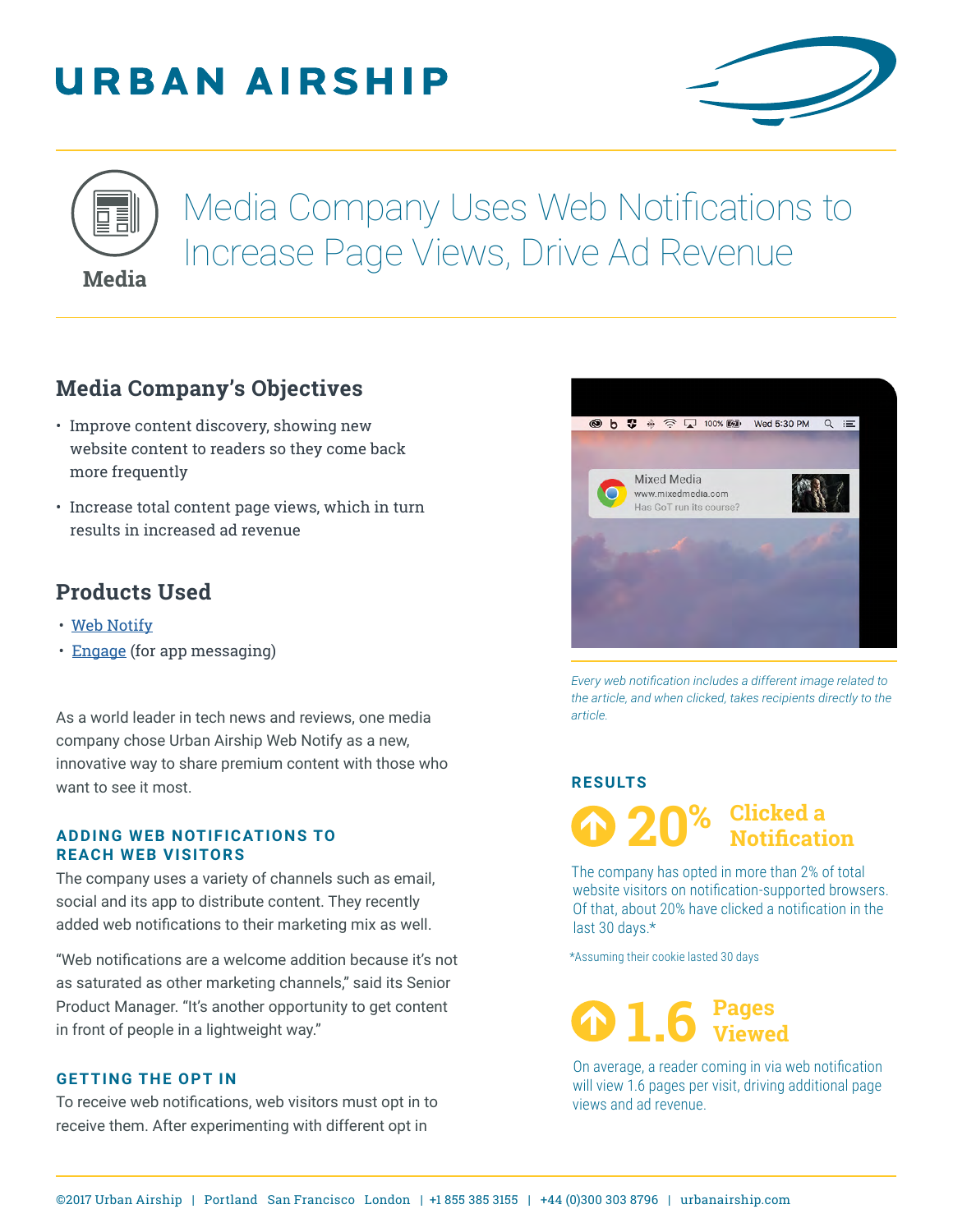# **URBAN AIRSHIP**





Media Company Uses Web Notifications to Increase Page Views, Drive Ad Revenue

## **Media Company's Objectives**

- Improve content discovery, showing new website content to readers so they come back more frequently
- Increase total content page views, which in turn results in increased ad revenue

## **Products Used**

- [Web Notify](https://www.urbanairship.com/products/web-push-notifications)
- [Engage](https://www.urbanairship.com/products/mobile-app-engagement) (for app messaging)

As a world leader in tech news and reviews, one media company chose Urban Airship Web Notify as a new, innovative way to share premium content with those who want to see it most.

#### **ADDING WEB NOTIFICATIONS TO REACH WEB VISITORS**

The company uses a variety of channels such as email, social and its app to distribute content. They recently added web notifications to their marketing mix as well.

"Web notifications are a welcome addition because it's not as saturated as other marketing channels," said its Senior Product Manager. "It's another opportunity to get content in front of people in a lightweight way."

### **GETTING THE OPT IN**

To receive web notifications, web visitors must opt in to receive them. After experimenting with different opt in



*Every web notification includes a different image related to the article, and when clicked, takes recipients directly to the article.*

#### **RESULTS**

**20 Clicked a Notification %**

The company has opted in more than 2% of total website visitors on notification-supported browsers. Of that, about 20% have clicked a notification in the last 30 days.\*

\*Assuming their cookie lasted 30 days



On average, a reader coming in via web notification will view 1.6 pages per visit, driving additional page views and ad revenue.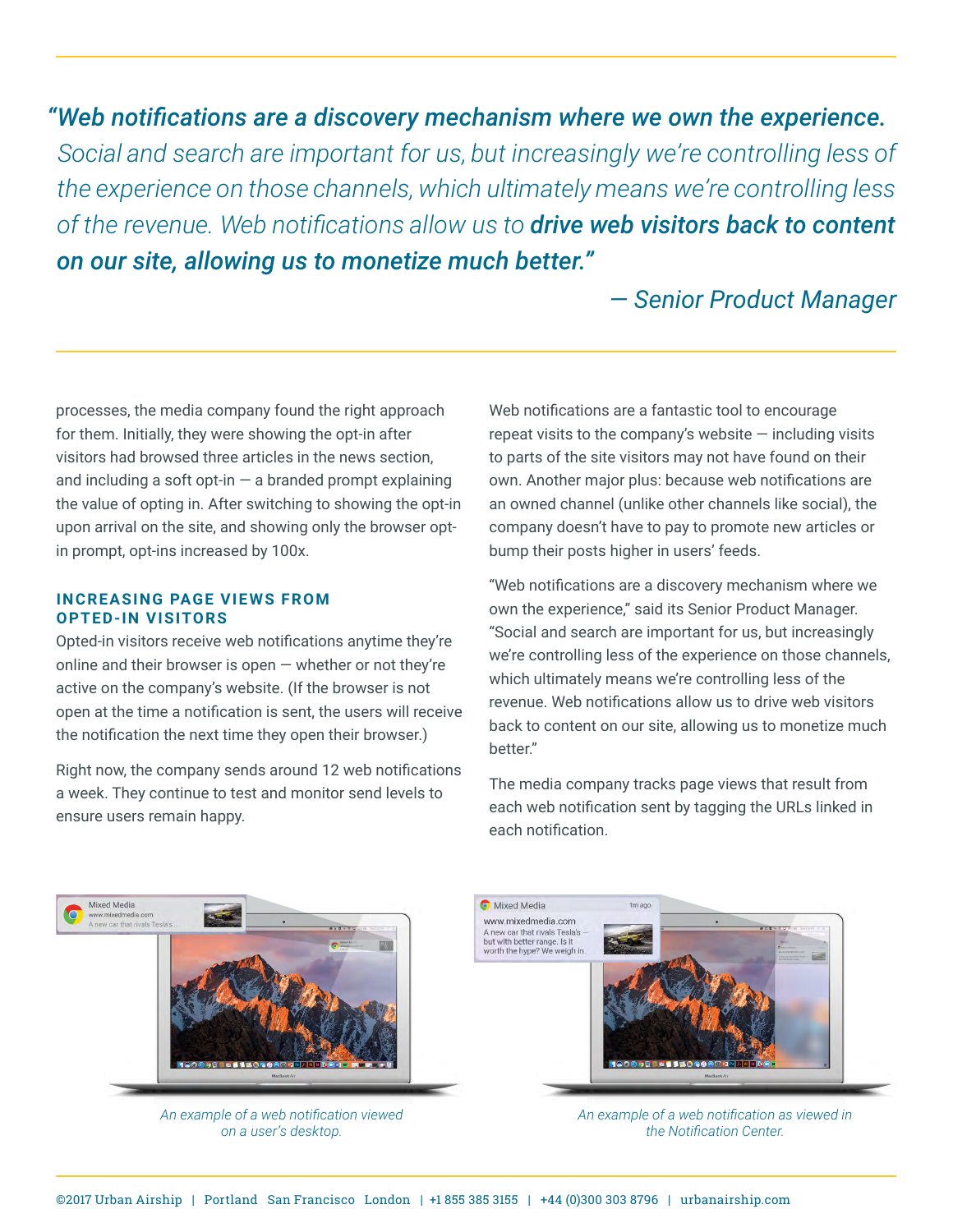*"Web notifications are a discovery mechanism where we own the experience. Social and search are important for us, but increasingly we're controlling less of the experience on those channels, which ultimately means we're controlling less of the revenue. Web notifications allow us to drive web visitors back to content on our site, allowing us to monetize much better."* 

## *— Senior Product Manager*

processes, the media company found the right approach for them. Initially, they were showing the opt-in after visitors had browsed three articles in the news section, and including a soft opt-in  $-$  a branded prompt explaining the value of opting in. After switching to showing the opt-in upon arrival on the site, and showing only the browser optin prompt, opt-ins increased by 100x.

#### **INCREASING PAGE VIEWS FROM OPTED-IN VISITORS**

Opted-in visitors receive web notifications anytime they're online and their browser is open  $-$  whether or not they're active on the company's website. (If the browser is not open at the time a notification is sent, the users will receive the notification the next time they open their browser.)

Right now, the company sends around 12 web notifications a week. They continue to test and monitor send levels to ensure users remain happy.

Web notifications are a fantastic tool to encourage repeat visits to the company's website  $-$  including visits to parts of the site visitors may not have found on their own. Another major plus: because web notifications are an owned channel (unlike other channels like social), the company doesn't have to pay to promote new articles or bump their posts higher in users' feeds.

"Web notifications are a discovery mechanism where we own the experience," said its Senior Product Manager. "Social and search are important for us, but increasingly we're controlling less of the experience on those channels, which ultimately means we're controlling less of the revenue. Web notifications allow us to drive web visitors back to content on our site, allowing us to monetize much better."

The media company tracks page views that result from each web notification sent by tagging the URLs linked in each notification.



*An example of a web notification viewed on a user's desktop.*



*An example of a web notification as viewed in the Notification Center.*